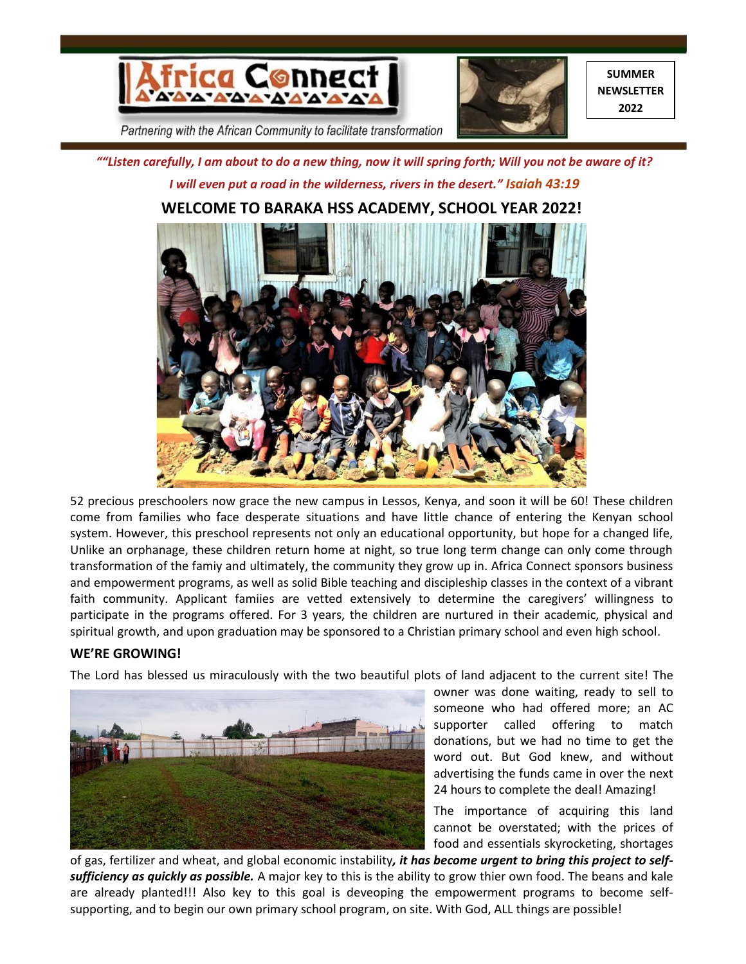



**SUMMER NEWSLETTER 2022**

Partnering with the African Community to facilitate transformation

*""Listen carefully, I am about to do a new thing, now it will spring forth; Will you not be aware of it? I will even put a road in the wilderness, rivers in the desert." Isaiah 43:19*



# **WELCOME TO BARAKA HSS ACADEMY, SCHOOL YEAR 2022!**

52 precious preschoolers now grace the new campus in Lessos, Kenya, and soon it will be 60! These children come from families who face desperate situations and have little chance of entering the Kenyan school system. However, this preschool represents not only an educational opportunity, but hope for a changed life, Unlike an orphanage, these children return home at night, so true long term change can only come through transformation of the famiy and ultimately, the community they grow up in. Africa Connect sponsors business and empowerment programs, as well as solid Bible teaching and discipleship classes in the context of a vibrant faith community. Applicant famiies are vetted extensively to determine the caregivers' willingness to participate in the programs offered. For 3 years, the children are nurtured in their academic, physical and spiritual growth, and upon graduation may be sponsored to a Christian primary school and even high school.

# **WE'RE GROWING!**

The Lord has blessed us miraculously with the two beautiful plots of land adjacent to the current site! The



owner was done waiting, ready to sell to someone who had offered more; an AC supporter called offering to match donations, but we had no time to get the word out. But God knew, and without advertising the funds came in over the next 24 hours to complete the deal! Amazing!

The importance of acquiring this land cannot be overstated; with the prices of food and essentials skyrocketing, shortages

of gas, fertilizer and wheat, and global economic instability*, it has become urgent to bring this project to selfsufficiency as quickly as possible.* A major key to this is the ability to grow thier own food. The beans and kale are already planted!!! Also key to this goal is deveoping the empowerment programs to become selfsupporting, and to begin our own primary school program, on site. With God, ALL things are possible!